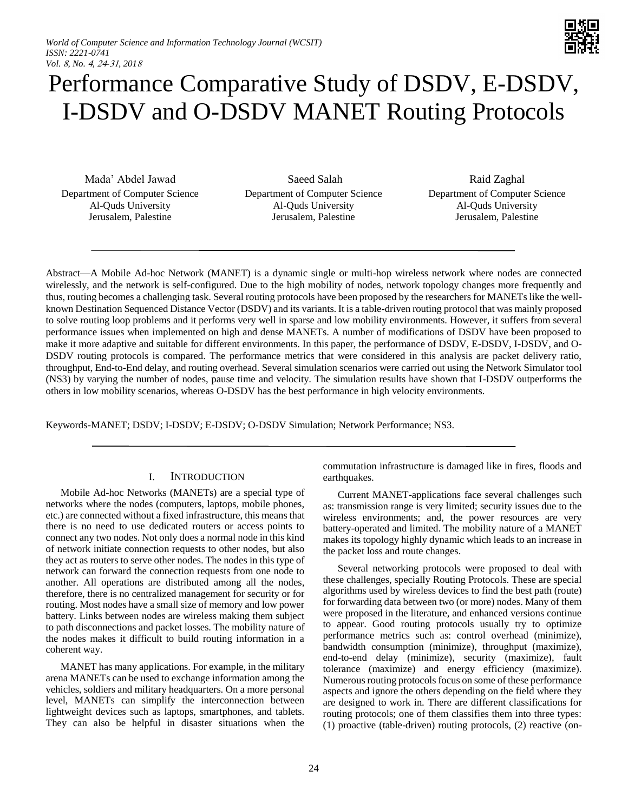

# Performance Comparative Study of DSDV, E-DSDV, I-DSDV and O-DSDV MANET Routing Protocols

Mada' Abdel Jawad Department of Computer Science Al-Quds University Jerusalem, Palestine

Saeed Salah Department of Computer Science Al-Quds University Jerusalem, Palestine

Raid Zaghal Department of Computer Science Al-Quds University Jerusalem, Palestine

Abstract—A Mobile Ad-hoc Network (MANET) is a dynamic single or multi-hop wireless network where nodes are connected wirelessly, and the network is self-configured. Due to the high mobility of nodes, network topology changes more frequently and thus, routing becomes a challenging task. Several routing protocols have been proposed by the researchers for MANETs like the wellknown Destination Sequenced Distance Vector (DSDV) and its variants. It is a table-driven routing protocol that was mainly proposed to solve routing loop problems and it performs very well in sparse and low mobility environments. However, it suffers from several performance issues when implemented on high and dense MANETs. A number of modifications of DSDV have been proposed to make it more adaptive and suitable for different environments. In this paper, the performance of DSDV, E-DSDV, I-DSDV, and O-DSDV routing protocols is compared. The performance metrics that were considered in this analysis are packet delivery ratio, throughput, End-to-End delay, and routing overhead. Several simulation scenarios were carried out using the Network Simulator tool (NS3) by varying the number of nodes, pause time and velocity. The simulation results have shown that I-DSDV outperforms the others in low mobility scenarios, whereas O-DSDV has the best performance in high velocity environments.

Keywords-MANET; DSDV; I-DSDV; E-DSDV; O-DSDV Simulation; Network Performance; NS3.

# I. INTRODUCTION

Mobile Ad-hoc Networks (MANETs) are a special type of networks where the nodes (computers, laptops, mobile phones, etc.) are connected without a fixed infrastructure, this means that there is no need to use dedicated routers or access points to connect any two nodes. Not only does a normal node in this kind of network initiate connection requests to other nodes, but also they act as routers to serve other nodes. The nodes in this type of network can forward the connection requests from one node to another. All operations are distributed among all the nodes, therefore, there is no centralized management for security or for routing. Most nodes have a small size of memory and low power battery. Links between nodes are wireless making them subject to path disconnections and packet losses. The mobility nature of the nodes makes it difficult to build routing information in a coherent way.

MANET has many applications. For example, in the military arena MANETs can be used to exchange information among the vehicles, soldiers and military headquarters. On a more personal level, MANETs can simplify the interconnection between lightweight devices such as laptops, smartphones, and tablets. They can also be helpful in disaster situations when the commutation infrastructure is damaged like in fires, floods and earthquakes.

Current MANET-applications face several challenges such as: transmission range is very limited; security issues due to the wireless environments; and, the power resources are very battery-operated and limited. The mobility nature of a MANET makes its topology highly dynamic which leads to an increase in the packet loss and route changes.

Several networking protocols were proposed to deal with these challenges, specially Routing Protocols. These are special algorithms used by wireless devices to find the best path (route) for forwarding data between two (or more) nodes. Many of them were proposed in the literature, and enhanced versions continue to appear. Good routing protocols usually try to optimize performance metrics such as: control overhead (minimize), bandwidth consumption (minimize), throughput (maximize), end-to-end delay (minimize), security (maximize), fault tolerance (maximize) and energy efficiency (maximize). Numerous routing protocols focus on some of these performance aspects and ignore the others depending on the field where they are designed to work in. There are different classifications for routing protocols; one of them classifies them into three types: (1) proactive (table-driven) routing protocols, (2) reactive (on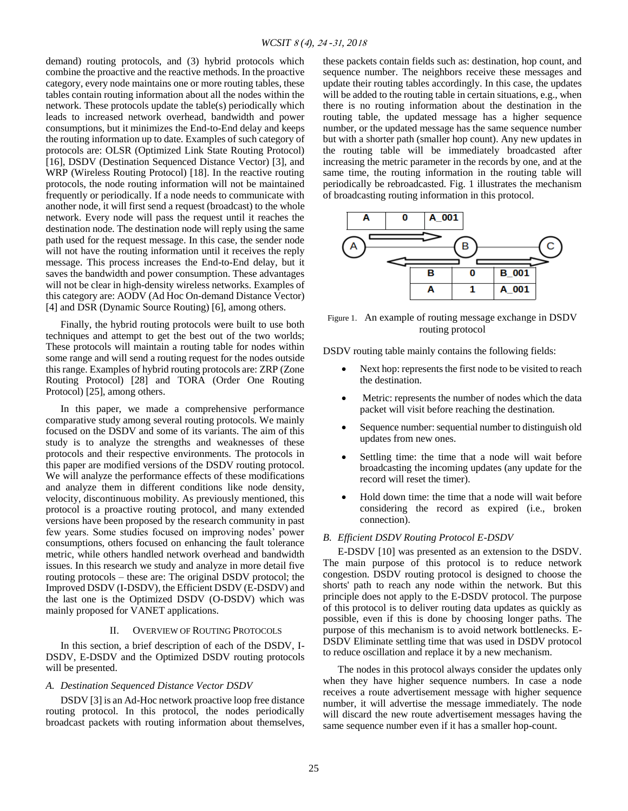demand) routing protocols, and (3) hybrid protocols which combine the proactive and the reactive methods. In the proactive category, every node maintains one or more routing tables, these tables contain routing information about all the nodes within the network. These protocols update the table(s) periodically which leads to increased network overhead, bandwidth and power consumptions, but it minimizes the End-to-End delay and keeps the routing information up to date. Examples of such category of protocols are: OLSR (Optimized Link State Routing Protocol) [16], DSDV (Destination Sequenced Distance Vector) [3], and WRP (Wireless Routing Protocol) [18]. In the reactive routing protocols, the node routing information will not be maintained frequently or periodically. If a node needs to communicate with another node, it will first send a request (broadcast) to the whole network. Every node will pass the request until it reaches the destination node. The destination node will reply using the same path used for the request message. In this case, the sender node will not have the routing information until it receives the reply message. This process increases the End-to-End delay, but it saves the bandwidth and power consumption. These advantages will not be clear in high-density wireless networks. Examples of this category are: AODV (Ad Hoc On-demand Distance Vector) [4] and DSR (Dynamic Source Routing) [6], among others.

Finally, the hybrid routing protocols were built to use both techniques and attempt to get the best out of the two worlds; These protocols will maintain a routing table for nodes within some range and will send a routing request for the nodes outside this range. Examples of hybrid routing protocols are: ZRP (Zone Routing Protocol) [28] and TORA (Order One Routing Protocol) [25], among others.

In this paper, we made a comprehensive performance comparative study among several routing protocols. We mainly focused on the DSDV and some of its variants. The aim of this study is to analyze the strengths and weaknesses of these protocols and their respective environments. The protocols in this paper are modified versions of the DSDV routing protocol. We will analyze the performance effects of these modifications and analyze them in different conditions like node density, velocity, discontinuous mobility. As previously mentioned, this protocol is a proactive routing protocol, and many extended versions have been proposed by the research community in past few years. Some studies focused on improving nodes' power consumptions, others focused on enhancing the fault tolerance metric, while others handled network overhead and bandwidth issues. In this research we study and analyze in more detail five routing protocols – these are: The original DSDV protocol; the Improved DSDV (I-DSDV), the Efficient DSDV (E-DSDV) and the last one is the Optimized DSDV (O-DSDV) which was mainly proposed for VANET applications.

# II. OVERVIEW OF ROUTING PROTOCOLS

In this section, a brief description of each of the DSDV, I-DSDV, E-DSDV and the Optimized DSDV routing protocols will be presented.

## *A. Destination Sequenced Distance Vector DSDV*

DSDV [3] is an Ad-Hoc network proactive loop free distance routing protocol. In this protocol, the nodes periodically broadcast packets with routing information about themselves, these packets contain fields such as: destination, hop count, and sequence number. The neighbors receive these messages and update their routing tables accordingly. In this case, the updates will be added to the routing table in certain situations, e.g., when there is no routing information about the destination in the routing table, the updated message has a higher sequence number, or the updated message has the same sequence number but with a shorter path (smaller hop count). Any new updates in the routing table will be immediately broadcasted after increasing the metric parameter in the records by one, and at the same time, the routing information in the routing table will periodically be rebroadcasted. Fig. 1 illustrates the mechanism of broadcasting routing information in this protocol.



Figure 1. An example of routing message exchange in DSDV routing protocol

DSDV routing table mainly contains the following fields:

- Next hop: represents the first node to be visited to reach the destination.
- Metric: represents the number of nodes which the data packet will visit before reaching the destination.
- Sequence number: sequential number to distinguish old updates from new ones.
- Settling time: the time that a node will wait before broadcasting the incoming updates (any update for the record will reset the timer).
- Hold down time: the time that a node will wait before considering the record as expired (i.e., broken connection).

# *B. Efficient DSDV Routing Protocol E-DSDV*

E-DSDV [10] was presented as an extension to the DSDV. The main purpose of this protocol is to reduce network congestion. DSDV routing protocol is designed to choose the shorts' path to reach any node within the network. But this principle does not apply to the E-DSDV protocol. The purpose of this protocol is to deliver routing data updates as quickly as possible, even if this is done by choosing longer paths. The purpose of this mechanism is to avoid network bottlenecks. E-DSDV Eliminate settling time that was used in DSDV protocol to reduce oscillation and replace it by a new mechanism.

The nodes in this protocol always consider the updates only when they have higher sequence numbers. In case a node receives a route advertisement message with higher sequence number, it will advertise the message immediately. The node will discard the new route advertisement messages having the same sequence number even if it has a smaller hop-count.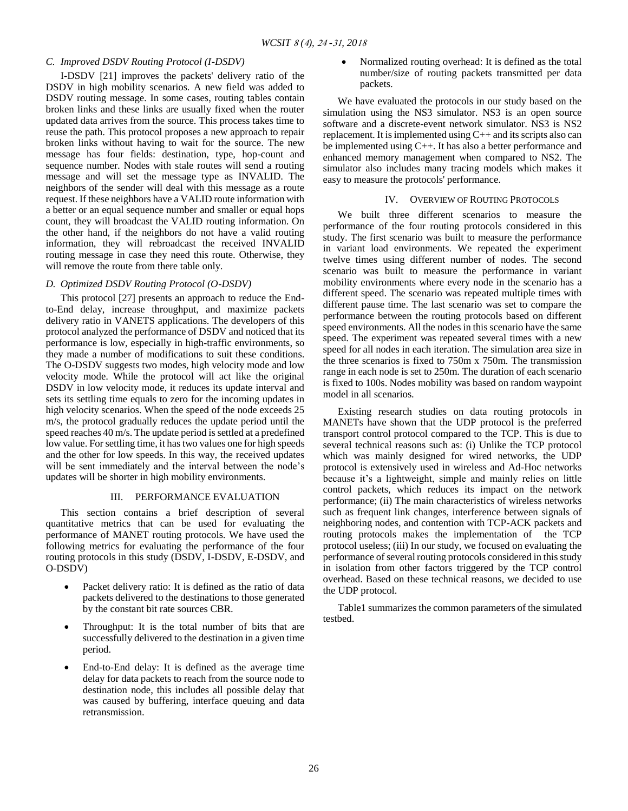## *C. Improved DSDV Routing Protocol (I-DSDV)*

I-DSDV [21] improves the packets' delivery ratio of the DSDV in high mobility scenarios. A new field was added to DSDV routing message. In some cases, routing tables contain broken links and these links are usually fixed when the router updated data arrives from the source. This process takes time to reuse the path. This protocol proposes a new approach to repair broken links without having to wait for the source. The new message has four fields: destination, type, hop-count and sequence number. Nodes with stale routes will send a routing message and will set the message type as INVALID. The neighbors of the sender will deal with this message as a route request. If these neighbors have a VALID route information with a better or an equal sequence number and smaller or equal hops count, they will broadcast the VALID routing information. On the other hand, if the neighbors do not have a valid routing information, they will rebroadcast the received INVALID routing message in case they need this route. Otherwise, they will remove the route from there table only.

## *D. Optimized DSDV Routing Protocol (O-DSDV)*

This protocol [27] presents an approach to reduce the Endto-End delay, increase throughput, and maximize packets delivery ratio in VANETS applications. The developers of this protocol analyzed the performance of DSDV and noticed that its performance is low, especially in high-traffic environments, so they made a number of modifications to suit these conditions. The O-DSDV suggests two modes, high velocity mode and low velocity mode. While the protocol will act like the original DSDV in low velocity mode, it reduces its update interval and sets its settling time equals to zero for the incoming updates in high velocity scenarios. When the speed of the node exceeds 25 m/s, the protocol gradually reduces the update period until the speed reaches 40 m/s. The update period is settled at a predefined low value. For settling time, it has two values one for high speeds and the other for low speeds. In this way, the received updates will be sent immediately and the interval between the node's updates will be shorter in high mobility environments.

## III. PERFORMANCE EVALUATION

This section contains a brief description of several quantitative metrics that can be used for evaluating the performance of MANET routing protocols. We have used the following metrics for evaluating the performance of the four routing protocols in this study (DSDV, I-DSDV, E-DSDV, and O-DSDV)

- Packet delivery ratio: It is defined as the ratio of data packets delivered to the destinations to those generated by the constant bit rate sources CBR.
- Throughput: It is the total number of bits that are successfully delivered to the destination in a given time period.
- End-to-End delay: It is defined as the average time delay for data packets to reach from the source node to destination node, this includes all possible delay that was caused by buffering, interface queuing and data retransmission.

• Normalized routing overhead: It is defined as the total number/size of routing packets transmitted per data packets.

We have evaluated the protocols in our study based on the simulation using the NS3 simulator. NS3 is an open source software and a discrete-event network simulator. NS3 is NS2 replacement. It is implemented using C++ and its scripts also can be implemented using C++. It has also a better performance and enhanced memory management when compared to NS2. The simulator also includes many tracing models which makes it easy to measure the protocols' performance.

## IV. OVERVIEW OF ROUTING PROTOCOLS

We built three different scenarios to measure the performance of the four routing protocols considered in this study. The first scenario was built to measure the performance in variant load environments. We repeated the experiment twelve times using different number of nodes. The second scenario was built to measure the performance in variant mobility environments where every node in the scenario has a different speed. The scenario was repeated multiple times with different pause time. The last scenario was set to compare the performance between the routing protocols based on different speed environments. All the nodes in this scenario have the same speed. The experiment was repeated several times with a new speed for all nodes in each iteration. The simulation area size in the three scenarios is fixed to 750m x 750m. The transmission range in each node is set to 250m. The duration of each scenario is fixed to 100s. Nodes mobility was based on random waypoint model in all scenarios.

Existing research studies on data routing protocols in MANETs have shown that the UDP protocol is the preferred transport control protocol compared to the TCP. This is due to several technical reasons such as: (i) Unlike the TCP protocol which was mainly designed for wired networks, the UDP protocol is extensively used in wireless and Ad-Hoc networks because it's a lightweight, simple and mainly relies on little control packets, which reduces its impact on the network performance; (ii) The main characteristics of wireless networks such as frequent link changes, interference between signals of neighboring nodes, and contention with TCP-ACK packets and routing protocols makes the implementation of the TCP protocol useless; (iii) In our study, we focused on evaluating the performance of several routing protocols considered in this study in isolation from other factors triggered by the TCP control overhead. Based on these technical reasons, we decided to use the UDP protocol.

Table1 summarizes the common parameters of the simulated testbed.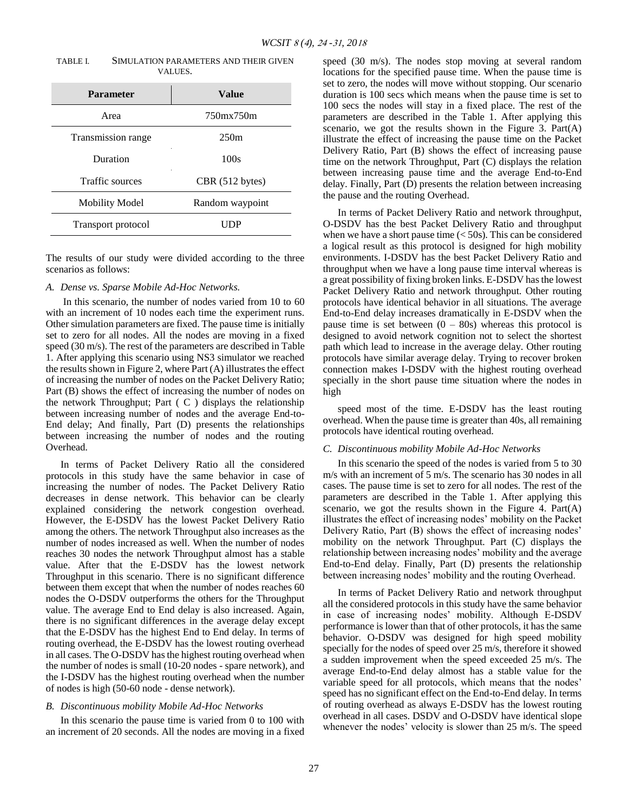| TABLE L | SIMULATION PARAMETERS AND THEIR GIVEN |
|---------|---------------------------------------|
|         | VALUES.                               |

| <b>Parameter</b>       | Value           |
|------------------------|-----------------|
| Area                   | 750mx750m       |
| Transmission range     | 250m            |
| Duration               | 100s            |
| <b>Traffic sources</b> | CBR (512 bytes) |
| <b>Mobility Model</b>  | Random waypoint |
| Transport protocol     | 9 P             |

The results of our study were divided according to the three scenarios as follows:

# *A. Dense vs. Sparse Mobile Ad-Hoc Networks.*

In this scenario, the number of nodes varied from 10 to 60 with an increment of 10 nodes each time the experiment runs. Other simulation parameters are fixed. The pause time is initially set to zero for all nodes. All the nodes are moving in a fixed speed (30 m/s). The rest of the parameters are described in Table 1. After applying this scenario using NS3 simulator we reached the results shown in Figure 2, where Part (A) illustrates the effect of increasing the number of nodes on the Packet Delivery Ratio; Part (B) shows the effect of increasing the number of nodes on the network Throughput; Part  $(C)$  displays the relationship between increasing number of nodes and the average End-to-End delay; And finally, Part (D) presents the relationships between increasing the number of nodes and the routing Overhead.

In terms of Packet Delivery Ratio all the considered protocols in this study have the same behavior in case of increasing the number of nodes. The Packet Delivery Ratio decreases in dense network. This behavior can be clearly explained considering the network congestion overhead. However, the E-DSDV has the lowest Packet Delivery Ratio among the others. The network Throughput also increases as the number of nodes increased as well. When the number of nodes reaches 30 nodes the network Throughput almost has a stable value. After that the E-DSDV has the lowest network Throughput in this scenario. There is no significant difference between them except that when the number of nodes reaches 60 nodes the O-DSDV outperforms the others for the Throughput value. The average End to End delay is also increased. Again, there is no significant differences in the average delay except that the E-DSDV has the highest End to End delay. In terms of routing overhead, the E-DSDV has the lowest routing overhead in all cases. The O-DSDV has the highest routing overhead when the number of nodes is small (10-20 nodes - spare network), and the I-DSDV has the highest routing overhead when the number of nodes is high (50-60 node - dense network).

# *B. Discontinuous mobility Mobile Ad-Hoc Networks*

In this scenario the pause time is varied from 0 to 100 with an increment of 20 seconds. All the nodes are moving in a fixed speed (30 m/s). The nodes stop moving at several random locations for the specified pause time. When the pause time is set to zero, the nodes will move without stopping. Our scenario duration is 100 secs which means when the pause time is set to 100 secs the nodes will stay in a fixed place. The rest of the parameters are described in the Table 1. After applying this scenario, we got the results shown in the Figure 3. Part(A) illustrate the effect of increasing the pause time on the Packet Delivery Ratio, Part (B) shows the effect of increasing pause time on the network Throughput, Part (C) displays the relation between increasing pause time and the average End-to-End delay. Finally, Part (D) presents the relation between increasing the pause and the routing Overhead.

In terms of Packet Delivery Ratio and network throughput, O-DSDV has the best Packet Delivery Ratio and throughput when we have a short pause time  $\left( < 50$ s). This can be considered a logical result as this protocol is designed for high mobility environments. I-DSDV has the best Packet Delivery Ratio and throughput when we have a long pause time interval whereas is a great possibility of fixing broken links. E-DSDV has the lowest Packet Delivery Ratio and network throughput. Other routing protocols have identical behavior in all situations. The average End-to-End delay increases dramatically in E-DSDV when the pause time is set between  $(0 - 80s)$  whereas this protocol is designed to avoid network cognition not to select the shortest path which lead to increase in the average delay. Other routing protocols have similar average delay. Trying to recover broken connection makes I-DSDV with the highest routing overhead specially in the short pause time situation where the nodes in high

speed most of the time. E-DSDV has the least routing overhead. When the pause time is greater than 40s, all remaining protocols have identical routing overhead.

## *C. Discontinuous mobility Mobile Ad-Hoc Networks*

In this scenario the speed of the nodes is varied from 5 to 30 m/s with an increment of 5 m/s. The scenario has 30 nodes in all cases. The pause time is set to zero for all nodes. The rest of the parameters are described in the Table 1. After applying this scenario, we got the results shown in the Figure 4. Part(A) illustrates the effect of increasing nodes' mobility on the Packet Delivery Ratio, Part (B) shows the effect of increasing nodes' mobility on the network Throughput. Part (C) displays the relationship between increasing nodes' mobility and the average End-to-End delay. Finally, Part (D) presents the relationship between increasing nodes' mobility and the routing Overhead.

In terms of Packet Delivery Ratio and network throughput all the considered protocols in this study have the same behavior in case of increasing nodes' mobility. Although E-DSDV performance is lower than that of other protocols, it has the same behavior. O-DSDV was designed for high speed mobility specially for the nodes of speed over 25 m/s, therefore it showed a sudden improvement when the speed exceeded 25 m/s. The average End-to-End delay almost has a stable value for the variable speed for all protocols, which means that the nodes' speed has no significant effect on the End-to-End delay. In terms of routing overhead as always E-DSDV has the lowest routing overhead in all cases. DSDV and O-DSDV have identical slope whenever the nodes' velocity is slower than 25 m/s. The speed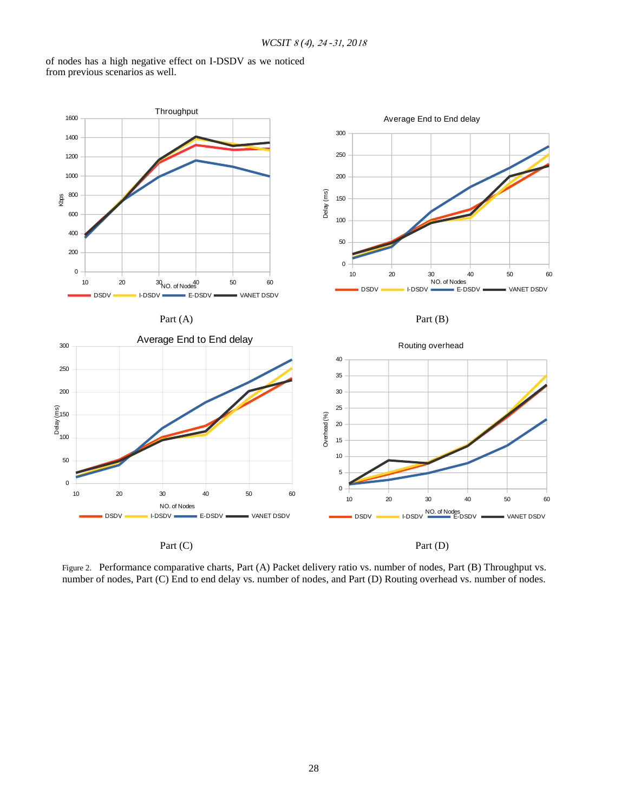of nodes has a high negative effect on I-DSDV as we noticed from previous scenarios as well.



Figure 2. Performance comparative charts, Part (A) Packet delivery ratio vs. number of nodes, Part (B) Throughput vs. number of nodes, Part (C) End to end delay vs. number of nodes, and Part (D) Routing overhead vs. number of nodes.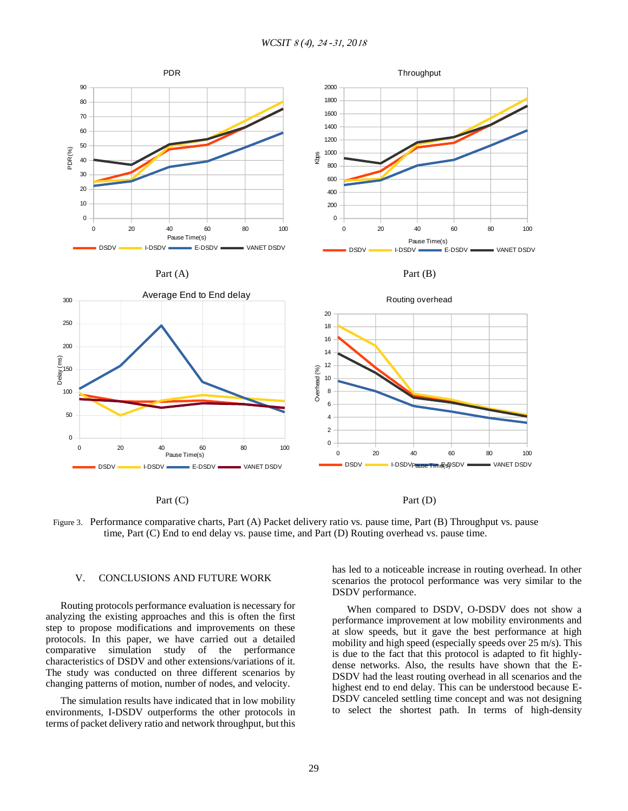

Figure 3. Performance comparative charts, Part (A) Packet delivery ratio vs. pause time, Part (B) Throughput vs. pause time, Part (C) End to end delay vs. pause time, and Part (D) Routing overhead vs. pause time.

## V. CONCLUSIONS AND FUTURE WORK

Routing protocols performance evaluation is necessary for analyzing the existing approaches and this is often the first step to propose modifications and improvements on these protocols. In this paper, we have carried out a detailed comparative simulation study of the performance characteristics of DSDV and other extensions/variations of it. The study was conducted on three different scenarios by changing patterns of motion, number of nodes, and velocity.

The simulation results have indicated that in low mobility environments, I-DSDV outperforms the other protocols in terms of packet delivery ratio and network throughput, but this has led to a noticeable increase in routing overhead. In other scenarios the protocol performance was very similar to the DSDV performance.

When compared to DSDV, O-DSDV does not show a performance improvement at low mobility environments and at slow speeds, but it gave the best performance at high mobility and high speed (especially speeds over 25 m/s). This is due to the fact that this protocol is adapted to fit highlydense networks. Also, the results have shown that the E-DSDV had the least routing overhead in all scenarios and the highest end to end delay. This can be understood because E-DSDV canceled settling time concept and was not designing to select the shortest path. In terms of high-density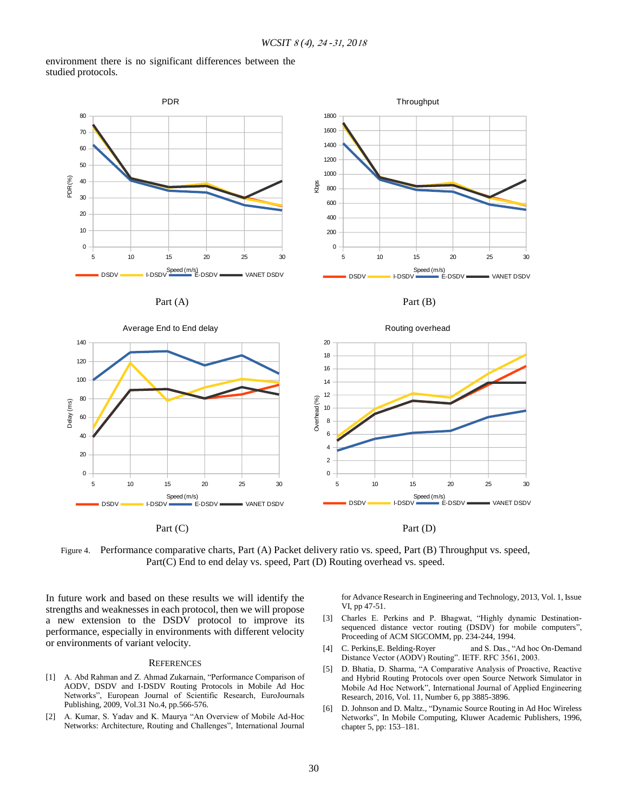environment there is no significant differences between the studied protocols.



Figure 4. Performance comparative charts, Part (A) Packet delivery ratio vs. speed, Part (B) Throughput vs. speed, Part(C) End to end delay vs. speed, Part (D) Routing overhead vs. speed.

In future work and based on these results we will identify the strengths and weaknesses in each protocol, then we will propose a new extension to the DSDV protocol to improve its performance, especially in environments with different velocity or environments of variant velocity.

## **REFERENCES**

- [1] A. Abd Rahman and Z. Ahmad Zukarnain, "Performance Comparison of AODV, DSDV and I-DSDV Routing Protocols in Mobile Ad Hoc Networks", European Journal of Scientific Research, EuroJournals Publishing, 2009, Vol.31 No.4, pp.566-576.
- [2] A. Kumar, S. Yadav and K. Maurya "An Overview of Mobile Ad-Hoc Networks: Architecture, Routing and Challenges", International Journal

for Advance Research in Engineering and Technology, 2013, Vol. 1, Issue VI, pp 47-51.

- [3] Charles E. Perkins and P. Bhagwat, "Highly dynamic Destinationsequenced distance vector routing (DSDV) for mobile computers", Proceeding of ACM SIGCOMM, pp. 234-244, 1994.
- [4] C. Perkins, E. Belding-Royer and S. Das., "Ad hoc On-Demand Distance Vector (AODV) Routing". IETF. RFC 3561, 2003.
- [5] D. Bhatia, D. Sharma, "A Comparative Analysis of Proactive, Reactive and Hybrid Routing Protocols over open Source Network Simulator in Mobile Ad Hoc Network", International Journal of Applied Engineering Research, 2016, Vol. 11, Number 6, pp 3885-3896.
- [6] D. Johnson and D. Maltz., "Dynamic Source Routing in Ad Hoc Wireless Networks", In Mobile Computing, Kluwer Academic Publishers, 1996, chapter 5, pp: 153–181.